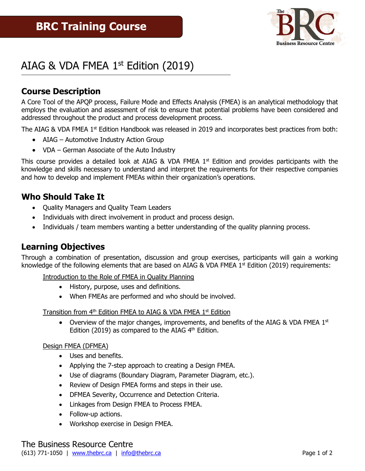

# AIAG & VDA FMEA  $1<sup>st</sup>$  Edition (2019)

### **Course Description**

A Core Tool of the APQP process, Failure Mode and Effects Analysis (FMEA) is an analytical methodology that employs the evaluation and assessment of risk to ensure that potential problems have been considered and addressed throughout the product and process development process.

The AIAG & VDA FMEA  $1<sup>st</sup>$  Edition Handbook was released in 2019 and incorporates best practices from both:

- AIAG Automotive Industry Action Group
- VDA German Associate of the Auto Industry

This course provides a detailed look at AIAG & VDA FMEA  $1<sup>st</sup>$  Edition and provides participants with the knowledge and skills necessary to understand and interpret the requirements for their respective companies and how to develop and implement FMEAs within their organization's operations.

### **Who Should Take It**

- Quality Managers and Quality Team Leaders
- Individuals with direct involvement in product and process design.
- Individuals / team members wanting a better understanding of the quality planning process.

### **Learning Objectives**

Through a combination of presentation, discussion and group exercises, participants will gain a working knowledge of the following elements that are based on AIAG & VDA FMEA  $1<sup>st</sup>$  Edition (2019) requirements:

Introduction to the Role of FMEA in Quality Planning

- History, purpose, uses and definitions.
- When FMEAs are performed and who should be involved.

Transition from  $4<sup>th</sup>$  Edition FMEA to AIAG & VDA FMEA  $1<sup>st</sup>$  Edition

• Overview of the major changes, improvements, and benefits of the AIAG & VDA FMEA  $1<sup>st</sup>$ Edition (2019) as compared to the AIAG  $4<sup>th</sup>$  Edition.

#### Design FMEA (DFMEA)

- Uses and benefits.
- Applying the 7-step approach to creating a Design FMEA.
- Use of diagrams (Boundary Diagram, Parameter Diagram, etc.).
- Review of Design FMEA forms and steps in their use.
- DFMEA Severity, Occurrence and Detection Criteria.
- Linkages from Design FMEA to Process FMEA.
- Follow-up actions.
- Workshop exercise in Design FMEA.

The Business Resource Centre (613) 771-1050 | [www.thebrc.ca](http://www.thebrc.ca/) | [info@thebrc.ca](mailto:info@thebrc.ca) | contract Page 1 of 2